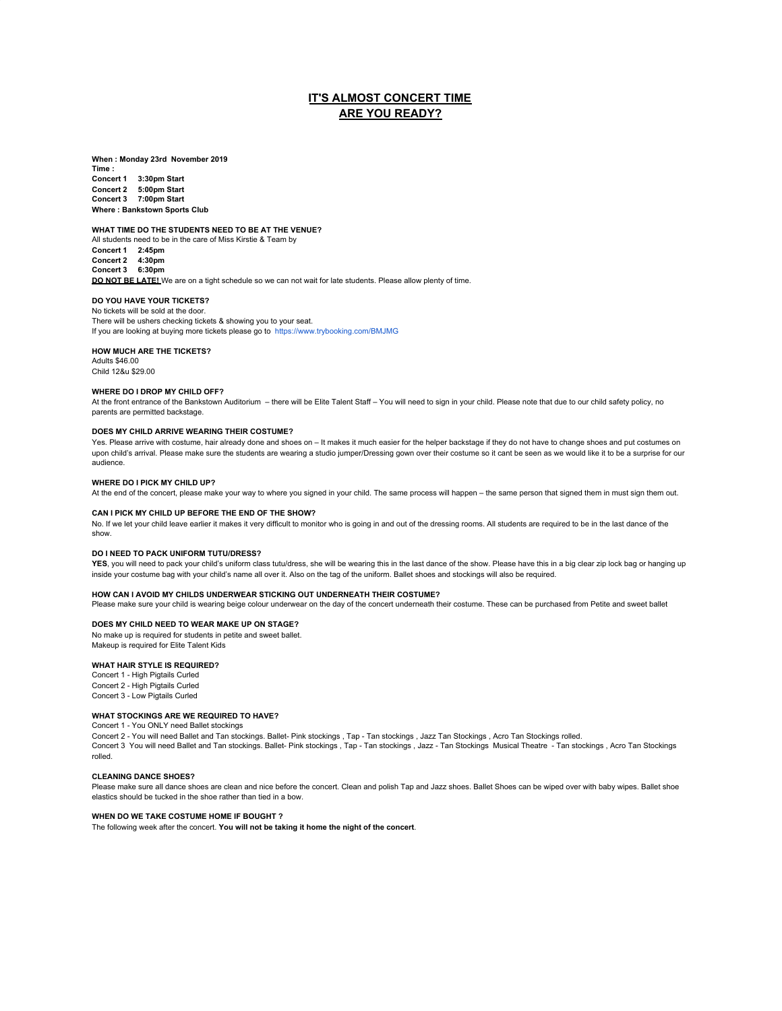# **IT'S ALMOST CONCERT TIME ARE YOU READY?**

**When : Monday 23rd November 2019**

**Time : Concert 1 3:30pm Start Concert 2 5:00pm Start Concert 3 7:00pm Start Where : Bankstown Sports Club**

**WHAT TIME DO THE STUDENTS NEED TO BE AT THE VENUE?**

All students need to be in the care of Miss Kirstie & Team by **Concert 1 2:45pm Concert 2 4:30pm Concert 3 6:30pm DO NOT BE LATE!** We are on a tight schedule so we can not wait for late students. Please allow plenty of time.

### **DO YOU HAVE YOUR TICKETS?**

No tickets will be sold at the door. There will be ushers checking tickets & showing you to your seat. If you are looking at buying more tickets please go to [https://www.trybooking.com/BMJMG](https://www.trybooking.com/BMJMG?fbclid=IwAR1tK76_Otnr-VXRLSTETx0zglyYMyUqTBNEu4Wi44ODGKulY9CcizrE8oE)

### **HOW MUCH ARE THE TICKETS?**

Adults \$46.00 Child 12&u \$29.00

#### **WHERE DO I DROP MY CHILD OFF?**

At the front entrance of the Bankstown Auditorium – there will be Elite Talent Staff – You will need to sign in your child. Please note that due to our child safety policy, no parents are permitted backstage.

### **DOES MY CHILD ARRIVE WEARING THEIR COSTUME?**

Yes. Please arrive with costume, hair already done and shoes on – It makes it much easier for the helper backstage if they do not have to change shoes and put costumes on upon child's arrival. Please make sure the students are wearing a studio jumper/Dressing gown over their costume so it cant be seen as we would like it to be a surprise for our audience.

#### **WHERE DO I PICK MY CHILD UP?**

At the end of the concert, please make your way to where you signed in your child. The same process will happen – the same person that signed them in must sign them out.

#### **CAN I PICK MY CHILD UP BEFORE THE END OF THE SHOW?**

No. If we let your child leave earlier it makes it very difficult to monitor who is going in and out of the dressing rooms. All students are required to be in the last dance of the show.

#### **DO I NEED TO PACK UNIFORM TUTU/DRESS?**

**YES**, you will need to pack your child's uniform class tutu/dress, she will be wearing this in the last dance of the show. Please have this in a big clear zip lock bag or hanging up inside your costume bag with your child's name all over it. Also on the tag of the uniform. Ballet shoes and stockings will also be required.

### **HOW CAN I AVOID MY CHILDS UNDERWEAR STICKING OUT UNDERNEATH THEIR COSTUME?**

Please make sure your child is wearing beige colour underwear on the day of the concert underneath their costume. These can be purchased from Petite and sweet ballet

### **DOES MY CHILD NEED TO WEAR MAKE UP ON STAGE?**

No make up is required for students in petite and sweet ballet. Makeup is required for Elite Talent Kids

### **WHAT HAIR STYLE IS REQUIRED?**

Concert 1 - High Pigtails Curled Concert 2 - High Pigtails Curled Concert 3 - Low Pigtails Curled

### **WHAT STOCKINGS ARE WE REQUIRED TO HAVE?**

Concert 1 - You ONLY need Ballet stockings

Concert 2 - You will need Ballet and Tan stockings. Ballet- Pink stockings , Tap - Tan stockings , Jazz Tan Stockings ,Acro Tan Stockings rolled.<br>Concert 3 You will need Ballet and Tan stockings. Ballet- Pink stockings , rolled.

#### **CLEANING DANCE SHOES?**

Please make sure all dance shoes are clean and nice before the concert. Clean and polish Tap and Jazz shoes. Ballet Shoes can be wiped over with baby wipes. Ballet shoe elastics should be tucked in the shoe rather than tied in a bow.

### **WHEN DO WE TAKE COSTUME HOME IF BOUGHT ?**

The following week after the concert. **You will not be taking it home the night of the concert**.